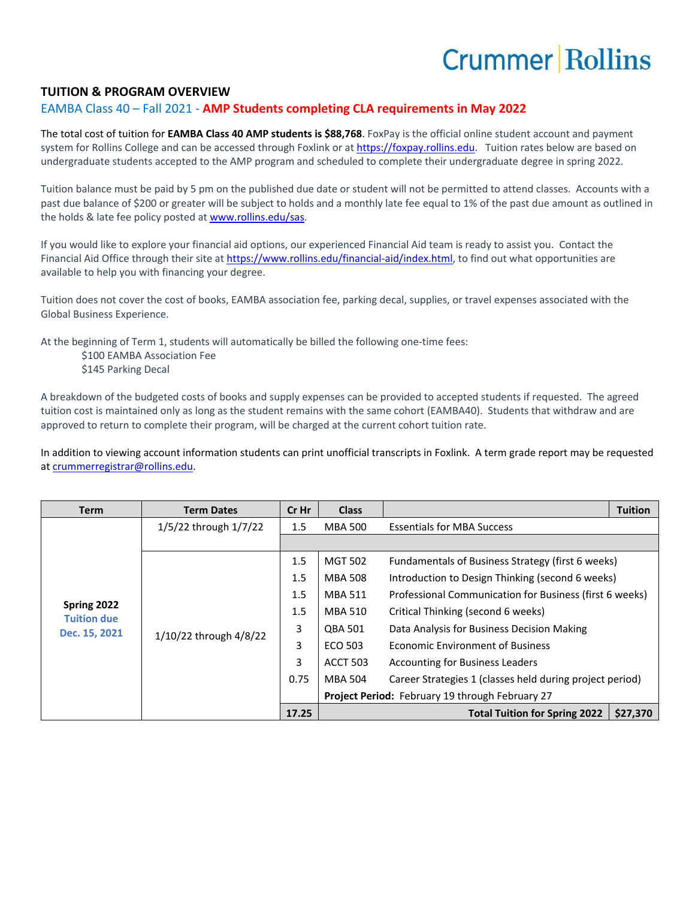## **Crummer Rollins**

## **TUITION & PROGRAM OVERVIEW**

## EAMBA Class 40 – Fall 2021 - **AMP Students completing CLA requirements in May 2022**

The total cost of tuition for **EAMBA Class 40 AMP students is \$88,768**. FoxPay is the official online student account and payment system for Rollins College and can be accessed through Foxlink or a[t https://foxpay.rollins.edu.](https://foxpay.rollins.edu/) Tuition rates below are based on undergraduate students accepted to the AMP program and scheduled to complete their undergraduate degree in spring 2022.

Tuition balance must be paid by 5 pm on the published due date or student will not be permitted to attend classes. Accounts with a past due balance of \$200 or greater will be subject to holds and a monthly late fee equal to 1% of the past due amount as outlined in the holds & late fee policy posted at [www.rollins.edu/sas.](http://www.rollins.edu/sas)

If you would like to explore your financial aid options, our experienced Financial Aid team is ready to assist you. Contact the Financial Aid Office through their site at [https://www.rollins.edu/financial-aid/index.html,](https://www.rollins.edu/financial-aid/index.html) to find out what opportunities are available to help you with financing your degree.

Tuition does not cover the cost of books, EAMBA association fee, parking decal, supplies, or travel expenses associated with the Global Business Experience.

At the beginning of Term 1, students will automatically be billed the following one-time fees:

\$100 EAMBA Association Fee \$145 Parking Decal

A breakdown of the budgeted costs of books and supply expenses can be provided to accepted students if requested. The agreed tuition cost is maintained only as long as the student remains with the same cohort (EAMBA40). Students that withdraw and are approved to return to complete their program, will be charged at the current cohort tuition rate.

In addition to viewing account information students can print unofficial transcripts in Foxlink. A term grade report may be requested a[t crummerregistrar@rollins.edu.](mailto:crummerregistrar@rollins.edu)

| <b>Term</b>                                        | <b>Term Dates</b>      | Cr Hr   | <b>Class</b>                                    |                                                          | <b>Tuition</b> |
|----------------------------------------------------|------------------------|---------|-------------------------------------------------|----------------------------------------------------------|----------------|
| Spring 2022<br><b>Tuition due</b><br>Dec. 15, 2021 | 1/5/22 through 1/7/22  | $1.5\,$ | MBA 500                                         | <b>Essentials for MBA Success</b>                        |                |
|                                                    |                        |         |                                                 |                                                          |                |
|                                                    | 1/10/22 through 4/8/22 | 1.5     | <b>MGT 502</b>                                  | Fundamentals of Business Strategy (first 6 weeks)        |                |
|                                                    |                        | 1.5     | <b>MBA 508</b>                                  | Introduction to Design Thinking (second 6 weeks)         |                |
|                                                    |                        | 1.5     | MBA 511                                         | Professional Communication for Business (first 6 weeks)  |                |
|                                                    |                        | 1.5     | <b>MBA 510</b>                                  | Critical Thinking (second 6 weeks)                       |                |
|                                                    |                        | 3       | <b>QBA 501</b>                                  | Data Analysis for Business Decision Making               |                |
|                                                    |                        | 3       | ECO 503                                         | <b>Economic Environment of Business</b>                  |                |
|                                                    |                        | 3       | <b>ACCT 503</b>                                 | <b>Accounting for Business Leaders</b>                   |                |
|                                                    |                        | 0.75    | <b>MBA 504</b>                                  | Career Strategies 1 (classes held during project period) |                |
|                                                    |                        |         | Project Period: February 19 through February 27 |                                                          |                |
|                                                    |                        | 17.25   |                                                 | <b>Total Tuition for Spring 2022</b>                     | \$27,370       |